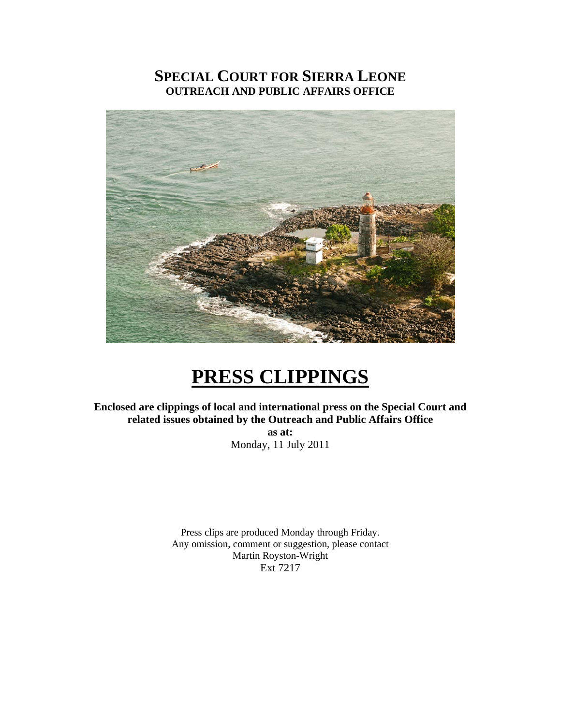### **SPECIAL COURT FOR SIERRA LEONE OUTREACH AND PUBLIC AFFAIRS OFFICE**



# **PRESS CLIPPINGS**

**Enclosed are clippings of local and international press on the Special Court and related issues obtained by the Outreach and Public Affairs Office** 

> **as at:**  Monday, 11 July 2011

Press clips are produced Monday through Friday. Any omission, comment or suggestion, please contact Martin Royston-Wright Ext 7217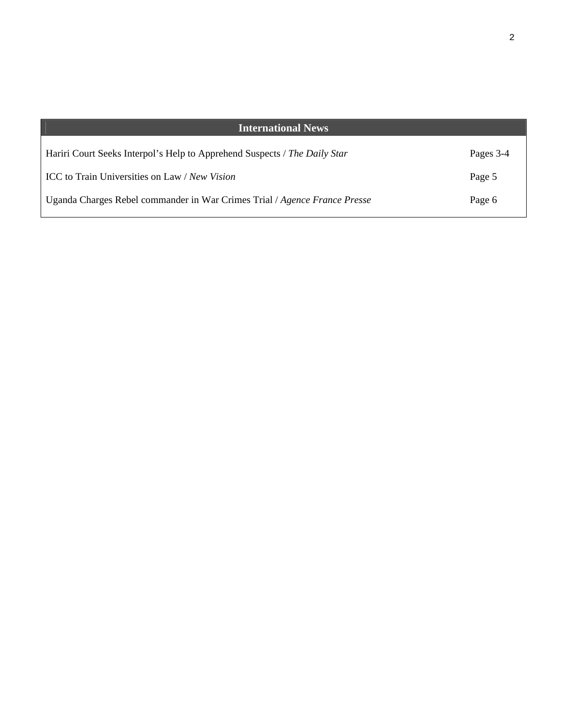| <b>International News</b>                                                 |           |
|---------------------------------------------------------------------------|-----------|
| Hariri Court Seeks Interpol's Help to Apprehend Suspects / The Daily Star | Pages 3-4 |
| ICC to Train Universities on Law / New Vision                             | Page 5    |
| Uganda Charges Rebel commander in War Crimes Trial / Agence France Presse | Page 6    |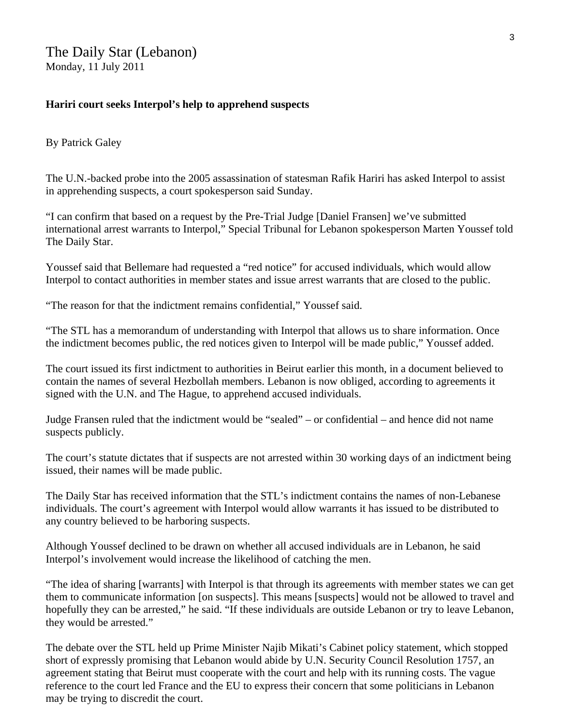#### **Hariri court seeks Interpol's help to apprehend suspects**

By [Patrick Galey](http://www.dailystar.com.lb/Patrick-Galey.ashx) 

The U.N.-backed probe into the 2005 assassination of statesman Rafik Hariri has asked Interpol to assist in apprehending suspects, a court spokesperson said Sunday.

"I can confirm that based on a request by the Pre-Trial Judge [Daniel Fransen] we've submitted international arrest warrants to Interpol," Special Tribunal for Lebanon spokesperson Marten Youssef told The Daily Star.

Youssef said that Bellemare had requested a "red notice" for accused individuals, which would allow Interpol to contact authorities in member states and issue arrest warrants that are closed to the public.

"The reason for that the indictment remains confidential," Youssef said.

"The STL has a memorandum of understanding with Interpol that allows us to share information. Once the indictment becomes public, the red notices given to Interpol will be made public," Youssef added.

The court issued its first indictment to authorities in Beirut earlier this month, in a document believed to contain the names of several Hezbollah members. Lebanon is now obliged, according to agreements it signed with the U.N. and The Hague, to apprehend accused individuals.

Judge Fransen ruled that the indictment would be "sealed" – or confidential – and hence did not name suspects publicly.

The court's statute dictates that if suspects are not arrested within 30 working days of an indictment being issued, their names will be made public.

The Daily Star has received information that the STL's indictment contains the names of non-Lebanese individuals. The court's agreement with Interpol would allow warrants it has issued to be distributed to any country believed to be harboring suspects.

Although Youssef declined to be drawn on whether all accused individuals are in Lebanon, he said Interpol's involvement would increase the likelihood of catching the men.

"The idea of sharing [warrants] with Interpol is that through its agreements with member states we can get them to communicate information [on suspects]. This means [suspects] would not be allowed to travel and hopefully they can be arrested," he said. "If these individuals are outside Lebanon or try to leave Lebanon, they would be arrested."

The debate over the STL held up Prime Minister Najib Mikati's Cabinet policy statement, which stopped short of expressly promising that Lebanon would abide by U.N. Security Council Resolution 1757, an agreement stating that Beirut must cooperate with the court and help with its running costs. The vague reference to the court led France and the EU to express their concern that some politicians in Lebanon may be trying to discredit the court.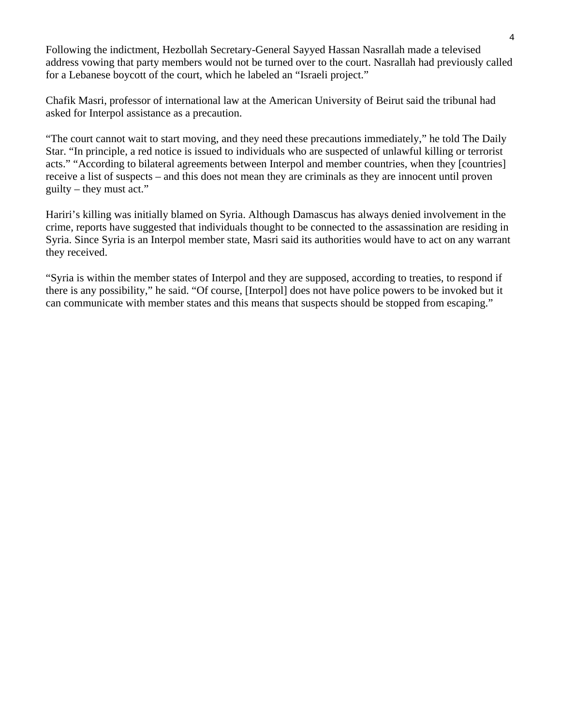Following the indictment, Hezbollah Secretary-General Sayyed Hassan Nasrallah made a televised address vowing that party members would not be turned over to the court. Nasrallah had previously called for a Lebanese boycott of the court, which he labeled an "Israeli project."

Chafik Masri, professor of international law at the American University of Beirut said the tribunal had asked for Interpol assistance as a precaution.

"The court cannot wait to start moving, and they need these precautions immediately," he told The Daily Star. "In principle, a red notice is issued to individuals who are suspected of unlawful killing or terrorist acts." "According to bilateral agreements between Interpol and member countries, when they [countries] receive a list of suspects – and this does not mean they are criminals as they are innocent until proven guilty – they must act."

Hariri's killing was initially blamed on Syria. Although Damascus has always denied involvement in the crime, reports have suggested that individuals thought to be connected to the assassination are residing in Syria. Since Syria is an Interpol member state, Masri said its authorities would have to act on any warrant they received.

"Syria is within the member states of Interpol and they are supposed, according to treaties, to respond if there is any possibility," he said. "Of course, [Interpol] does not have police powers to be invoked but it can communicate with member states and this means that suspects should be stopped from escaping."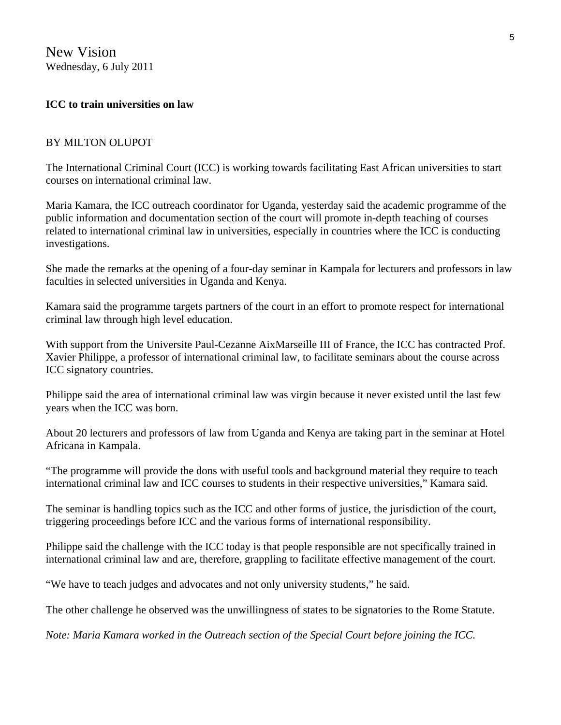New Vision Wednesday, 6 July 2011

#### **ICC to train universities on law**

#### BY MILTON OLUPOT

The International Criminal Court (ICC) is working towards facilitating East African universities to start courses on international criminal law.

Maria Kamara, the ICC outreach coordinator for Uganda, yesterday said the academic programme of the public information and documentation section of the court will promote in-depth teaching of courses related to international criminal law in universities, especially in countries where the ICC is conducting investigations.

She made the remarks at the opening of a four-day seminar in Kampala for lecturers and professors in law faculties in selected universities in Uganda and Kenya.

Kamara said the programme targets partners of the court in an effort to promote respect for international criminal law through high level education.

With support from the Universite Paul-Cezanne AixMarseille III of France, the ICC has contracted Prof. Xavier Philippe, a professor of international criminal law, to facilitate seminars about the course across ICC signatory countries.

Philippe said the area of international criminal law was virgin because it never existed until the last few years when the ICC was born.

About 20 lecturers and professors of law from Uganda and Kenya are taking part in the seminar at Hotel Africana in Kampala.

"The programme will provide the dons with useful tools and background material they require to teach international criminal law and ICC courses to students in their respective universities," Kamara said.

The seminar is handling topics such as the ICC and other forms of justice, the jurisdiction of the court, triggering proceedings before ICC and the various forms of international responsibility.

Philippe said the challenge with the ICC today is that people responsible are not specifically trained in international criminal law and are, therefore, grappling to facilitate effective management of the court.

"We have to teach judges and advocates and not only university students," he said.

The other challenge he observed was the unwillingness of states to be signatories to the Rome Statute.

*Note: Maria Kamara worked in the Outreach section of the Special Court before joining the ICC.*